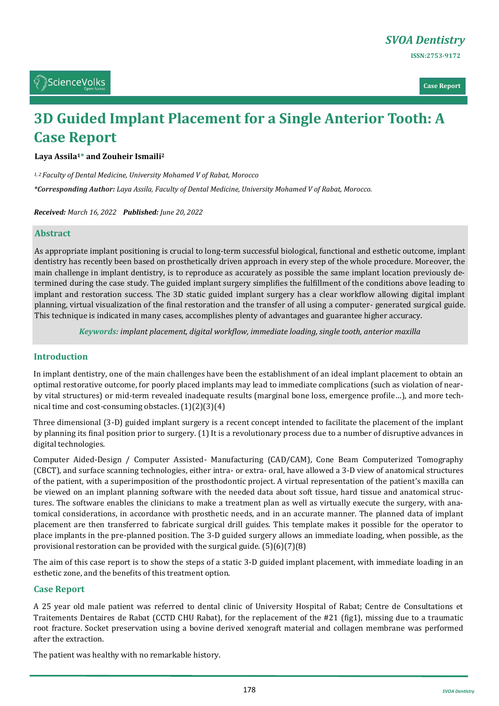

**Case Report**

# **3D Guided Implant Placement for a Single Anterior Tooth: A Case Report**

**Laya Assila1\* and Zouheir Ismaili<sup>2</sup>**

*1, 2 Faculty of Dental Medicine, University Mohamed V of Rabat, Morocco*

*\*Corresponding Author: Laya Assila, Faculty of Dental Medicine, University Mohamed V of Rabat, Morocco.*

*Received: March 16, 2022 Published: June 20, 2022*

#### **Abstract**

As appropriate implant positioning is crucial to long-term successful biological, functional and esthetic outcome, implant dentistry has recently been based on prosthetically driven approach in every step of the whole procedure. Moreover, the main challenge in implant dentistry, is to reproduce as accurately as possible the same implant location previously determined during the case study. The guided implant surgery simplifies the fulfillment of the conditions above leading to implant and restoration success. The 3D static guided implant surgery has a clear workflow allowing digital implant planning, virtual visualization of the final restoration and the transfer of all using a computer- generated surgical guide. This technique is indicated in many cases, accomplishes plenty of advantages and guarantee higher accuracy.

*Keywords: implant placement, digital workflow, immediate loading, single tooth, anterior maxilla*

## **Introduction**

In implant dentistry, one of the main challenges have been the establishment of an ideal implant placement to obtain an optimal restorative outcome, for poorly placed implants may lead to immediate complications (such as violation of nearby vital structures) or mid-term revealed inadequate results (marginal bone loss, emergence profile…), and more technical time and cost-consuming obstacles. (1)(2)(3)(4)

Three dimensional (3-D) guided implant surgery is a recent concept intended to facilitate the placement of the implant by planning its final position prior to surgery. (1) It is a revolutionary process due to a number of disruptive advances in digital technologies.

Computer Aided-Design / Computer Assisted- Manufacturing (CAD/CAM), Cone Beam Computerized Tomography (CBCT), and surface scanning technologies, either intra- or extra- oral, have allowed a 3-D view of anatomical structures of the patient, with a superimposition of the prosthodontic project. A virtual representation of the patient's maxilla can be viewed on an implant planning software with the needed data about soft tissue, hard tissue and anatomical structures. The software enables the clinicians to make a treatment plan as well as virtually execute the surgery, with anatomical considerations, in accordance with prosthetic needs, and in an accurate manner. The planned data of implant placement are then transferred to fabricate surgical drill guides. This template makes it possible for the operator to place implants in the pre-planned position. The 3-D guided surgery allows an immediate loading, when possible, as the provisional restoration can be provided with the surgical guide. (5)(6)(7)(8)

The aim of this case report is to show the steps of a static 3-D guided implant placement, with immediate loading in an esthetic zone, and the benefits of this treatment option.

## **Case Report**

A 25 year old male patient was referred to dental clinic of University Hospital of Rabat; Centre de Consultations et Traitements Dentaires de Rabat (CCTD CHU Rabat), for the replacement of the #21 (fig1), missing due to a traumatic root fracture. Socket preservation using a bovine derived xenograft material and collagen membrane was performed after the extraction.

The patient was healthy with no remarkable history.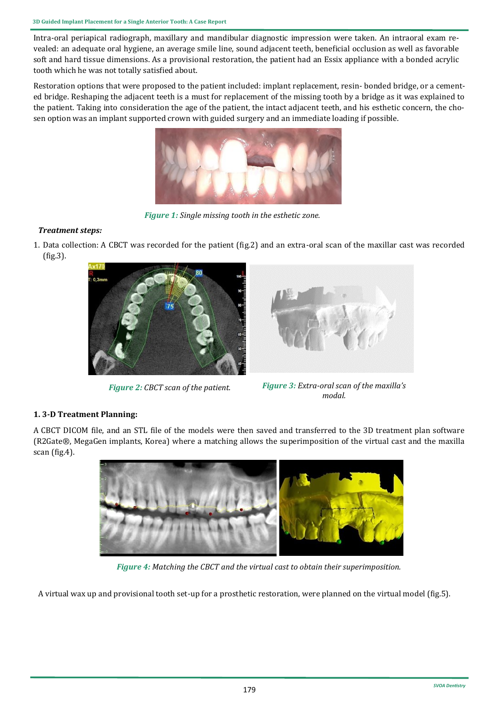Intra-oral periapical radiograph, maxillary and mandibular diagnostic impression were taken. An intraoral exam revealed: an adequate oral hygiene, an average smile line, sound adjacent teeth, beneficial occlusion as well as favorable soft and hard tissue dimensions. As a provisional restoration, the patient had an Essix appliance with a bonded acrylic tooth which he was not totally satisfied about.

Restoration options that were proposed to the patient included: implant replacement, resin- bonded bridge, or a cemented bridge. Reshaping the adjacent teeth is a must for replacement of the missing tooth by a bridge as it was explained to the patient. Taking into consideration the age of the patient, the intact adjacent teeth, and his esthetic concern, the chosen option was an implant supported crown with guided surgery and an immediate loading if possible.



 *Figure 1: Single missing tooth in the esthetic zone.*

## *Treatment steps:*

1. Data collection: A CBCT was recorded for the patient (fig.2) and an extra-oral scan of the maxillar cast was recorded (fig.3).



*Figure 2: CBCT scan of the patient. Figure 3: Extra-oral scan of the maxilla's* 



*modal.*

## **1. 3-D Treatment Planning:**

A CBCT DICOM file, and an STL file of the models were then saved and transferred to the 3D treatment plan software (R2Gate®, MegaGen implants, Korea) where a matching allows the superimposition of the virtual cast and the maxilla scan (fig.4).



*Figure 4: Matching the CBCT and the virtual cast to obtain their superimposition.*

A virtual wax up and provisional tooth set-up for a prosthetic restoration, were planned on the virtual model (fig.5).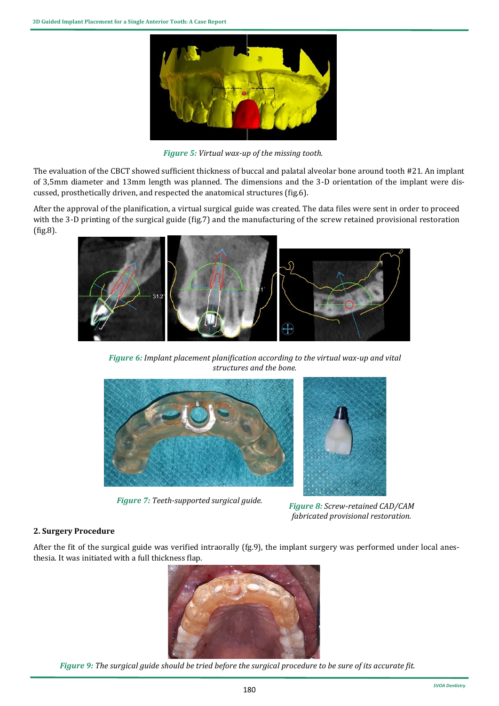

*Figure 5: Virtual wax-up of the missing tooth.*

The evaluation of the CBCT showed sufficient thickness of buccal and palatal alveolar bone around tooth #21. An implant of 3,5mm diameter and 13mm length was planned. The dimensions and the 3-D orientation of the implant were discussed, prosthetically driven, and respected the anatomical structures (fig.6).

After the approval of the planification, a virtual surgical guide was created. The data files were sent in order to proceed with the 3-D printing of the surgical guide (fig.7) and the manufacturing of the screw retained provisional restoration (fig.8).



*Figure 6: Implant placement planification according to the virtual wax-up and vital structures and the bone.*



*Figure 7: Teeth-supported surgical guide. Figure 8: Screw-retained CAD/CAM* 



*fabricated provisional restoration.*

## **2. Surgery Procedure**

After the fit of the surgical guide was verified intraorally (fg.9), the implant surgery was performed under local anesthesia. It was initiated with a full thickness flap.



*Figure 9: The surgical guide should be tried before the surgical procedure to be sure of its accurate fit.*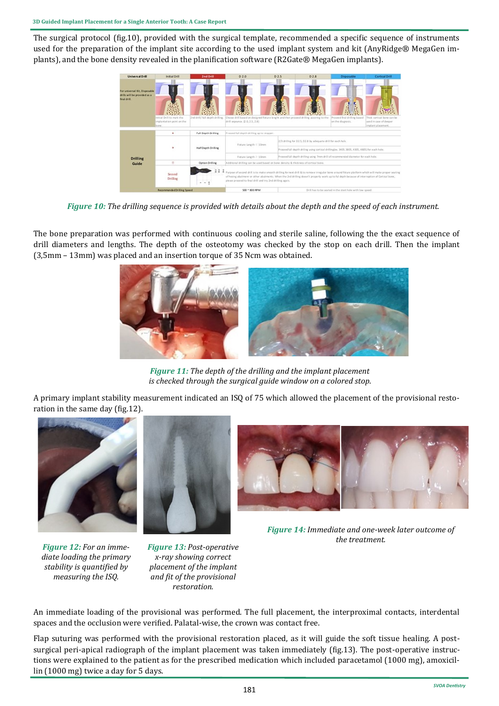The surgical protocol (fig.10), provided with the surgical template, recommended a specific sequence of instruments used for the preparation of the implant site according to the used implant system and kit (AnyRidge® MegaGen implants), and the bone density revealed in the planification software (R2Gate® MegaGen implants).



*Figure 10: The drilling sequence is provided with details about the depth and the speed of each instrument.*

The bone preparation was performed with continuous cooling and sterile saline, following the the exact sequence of drill diameters and lengths. The depth of the osteotomy was checked by the stop on each drill. Then the implant (3,5mm – 13mm) was placed and an insertion torque of 35 Ncm was obtained.



*Figure 11: The depth of the drilling and the implant placement is checked through the surgical guide window on a colored stop.*

A primary implant stability measurement indicated an ISQ of 75 which allowed the placement of the provisional restoration in the same day (fig.12).



*Figure 12: For an immediate loading the primary stability is quantified by measuring the ISQ.*

*Figure 13: Post-operative x-ray showing correct placement of the implant and fit of the provisional restoration.*

*Figure 14: Immediate and one-week later outcome of the treatment.*

An immediate loading of the provisional was performed. The full placement, the interproximal contacts, interdental spaces and the occlusion were verified. Palatal-wise, the crown was contact free.

Flap suturing was performed with the provisional restoration placed, as it will guide the soft tissue healing. A postsurgical peri-apical radiograph of the implant placement was taken immediately (fig.13). The post-operative instructions were explained to the patient as for the prescribed medication which included paracetamol (1000 mg), amoxicillin (1000 mg) twice a day for 5 days.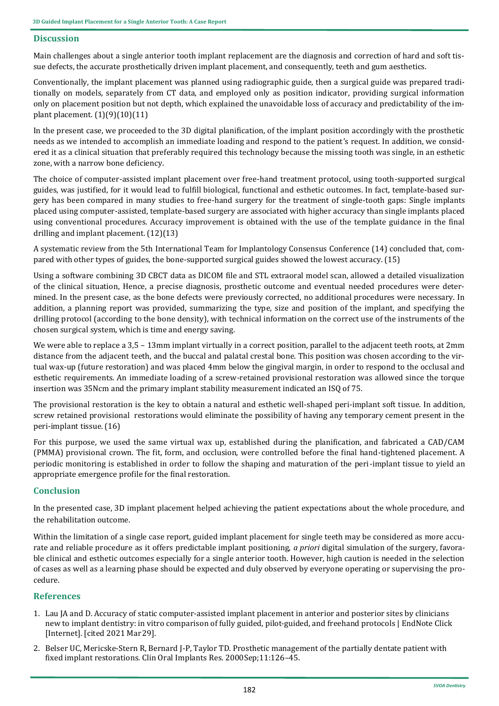## **Discussion**

Main challenges about a single anterior tooth implant replacement are the diagnosis and correction of hard and soft tissue defects, the accurate prosthetically driven implant placement, and consequently, teeth and gum aesthetics.

Conventionally, the implant placement was planned using radiographic guide, then a surgical guide was prepared traditionally on models, separately from CT data, and employed only as position indicator, providing surgical information only on placement position but not depth, which explained the unavoidable loss of accuracy and predictability of the implant placement. (1)(9)(10)(11)

In the present case, we proceeded to the 3D digital planification, of the implant position accordingly with the prosthetic needs as we intended to accomplish an immediate loading and respond to the patient's request. In addition, we considered it as a clinical situation that preferably required this technology because the missing tooth was single, in an esthetic zone, with a narrow bone deficiency.

The choice of computer-assisted implant placement over free-hand treatment protocol, using tooth-supported surgical guides, was justified, for it would lead to fulfill biological, functional and esthetic outcomes. In fact, template-based surgery has been compared in many studies to free-hand surgery for the treatment of single-tooth gaps: Single implants placed using computer-assisted, template-based surgery are associated with higher accuracy than single implants placed using conventional procedures. Accuracy improvement is obtained with the use of the template guidance in the final drilling and implant placement. (12)(13)

A systematic review from the 5th International Team for Implantology Consensus Conference (14) concluded that, compared with other types of guides, the bone-supported surgical guides showed the lowest accuracy. (15)

Using a software combining 3D CBCT data as DICOM file and STL extraoral model scan, allowed a detailed visualization of the clinical situation, Hence, a precise diagnosis, prosthetic outcome and eventual needed procedures were determined. In the present case, as the bone defects were previously corrected, no additional procedures were necessary. In addition, a planning report was provided, summarizing the type, size and position of the implant, and specifying the drilling protocol (according to the bone density), with technical information on the correct use of the instruments of the chosen surgical system, which is time and energy saving.

We were able to replace a 3,5 – 13mm implant virtually in a correct position, parallel to the adjacent teeth roots, at 2mm distance from the adjacent teeth, and the buccal and palatal crestal bone. This position was chosen according to the virtual wax-up (future restoration) and was placed 4mm below the gingival margin, in order to respond to the occlusal and esthetic requirements. An immediate loading of a screw-retained provisional restoration was allowed since the torque insertion was 35Ncm and the primary implant stability measurement indicated an ISQ of 75.

The provisional restoration is the key to obtain a natural and esthetic well-shaped peri-implant soft tissue. In addition, screw retained provisional restorations would eliminate the possibility of having any temporary cement present in the peri-implant tissue. (16)

For this purpose, we used the same virtual wax up, established during the planification, and fabricated a CAD/CAM (PMMA) provisional crown. The fit, form, and occlusion, were controlled before the final hand-tightened placement. A periodic monitoring is established in order to follow the shaping and maturation of the peri-implant tissue to yield an appropriate emergence profile for the final restoration.

## **Conclusion**

In the presented case, 3D implant placement helped achieving the patient expectations about the whole procedure, and the rehabilitation outcome.

Within the limitation of a single case report, guided implant placement for single teeth may be considered as more accurate and reliable procedure as it offers predictable implant positioning, *a priori* digital simulation of the surgery, favorable clinical and esthetic outcomes especially for a single anterior tooth. However, high caution is needed in the selection of cases as well as a learning phase should be expected and duly observed by everyone operating or supervising the procedure.

## **References**

- 1. Lau JA and D. Accuracy of static computer-[assisted implant placement in anterior and posterior sites by clinicians](https://www.ncbi.nlm.nih.gov/pmc/articles/PMC7064711/)  [new to implant dentistry: in vitro comparison of fully guided, pilot](https://www.ncbi.nlm.nih.gov/pmc/articles/PMC7064711/)-guided, and freehand protocols | EndNote Click [\[Internet\]. \[cited 2021 Mar29\].](https://www.ncbi.nlm.nih.gov/pmc/articles/PMC7064711/)
- 2. Belser UC, Mericske-Stern R, Bernard J-[P, Taylor TD. Prosthetic management of the partially dentate patient with](https://pubmed.ncbi.nlm.nih.gov/11168262/)  [fixed implant restorations. Clin Oral Implants Res. 2000Sep;11:126](https://pubmed.ncbi.nlm.nih.gov/11168262/)*–*45.